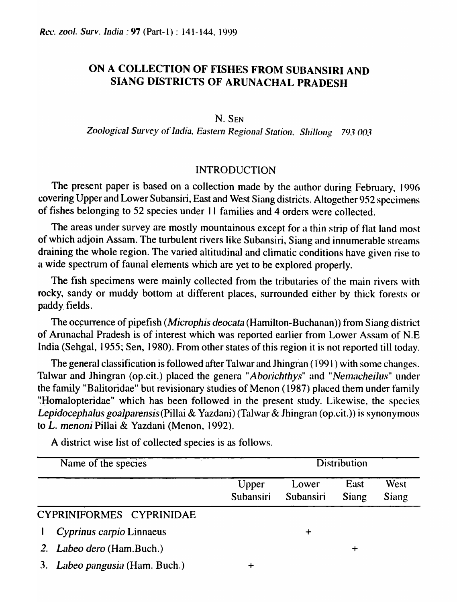## ON A COLLECTION OF FISHES FROM SUBANSIRI AND SIANG DISTRICTS OF ARUNACHAL PRADESH

## N. SEN

*Zoological Survey* of *India, Eastern Regional Station. Shillong* 793 *(J03* 

## INTRODUCTION

The present paper is based on a collection made by the author during February, 1996 covering Upper and Lower Subansiri, East and West Siang districts. Altogether 952 specimens of fishes belonging to 52 species under II families and 4 orders were collected.

The areas under survey are mostly mountainous except for a thin strip of flat land most of which adjoin Assam. The turbulent rivers like Subansiri, Siang and innumerable streams draining the whole region. The varied altitudinal and climatic conditions have given rise to u wide spectrum of faunal elements which are yet to be explored properly.

The fish specimens were mainly collected from the tributaries of the main rivers with rocky, sandy or muddy bottom at different places, surrounded either by thick forests or paddy. fields.

The occurrence of pipefish *(Microphis deocata* (Hamilton-Buchanan)) from Siang district of Arunachal Pradesh is of interest which was reported earlier from Lower Assam of N.E India (Sehgal, 1955; Sen, 1980). From other states of this region it is not reported till today.

The general classification is followed after Talwar and Jhingran (1991) with some changes. Talwar and Jhingran (op.cit.) placed the genera "Aborichthys" and "Nemacheilus" under the family "Balitoridae" but revisionary studies of Menon (1987) placed them under family "Homalopteridae" which has been followed in the present study. Likewise, the species. *Lepidocephalus goalparensis* (Pillai & Yazdani) (Talwar & Jhingran (op.cit.)) is synonymous to *L. menoni* Pillai & Yazdani (Menon, 1992).

| Name of the species               | <b>Distribution</b> |                           |               |               |
|-----------------------------------|---------------------|---------------------------|---------------|---------------|
|                                   | Upper<br>Subansiri  | Lower<br><b>Subansiri</b> | East<br>Siang | West<br>Siang |
| CYPRINIFORMES CYPRINIDAE          |                     |                           |               |               |
| Cyprinus carpio Linnaeus          |                     |                           |               |               |
| 2. <i>Labeo dero</i> (Ham.Buch.)  |                     |                           | ┿             |               |
| Labeo pangusia (Ham. Buch.)<br>3. |                     |                           |               |               |

A district wise list of collected species is as follows.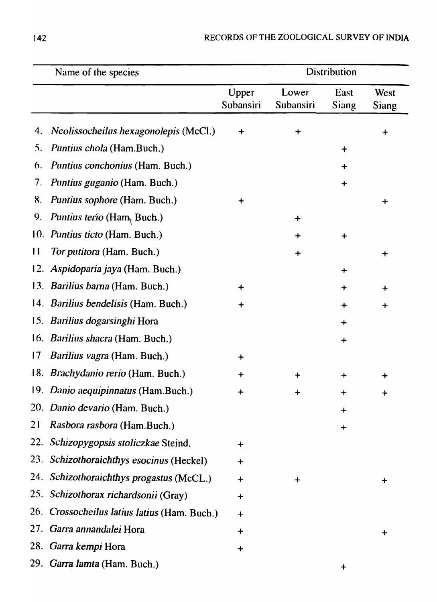|              | Name of the species                          | <b>Distribution</b> |                    |               |                      |
|--------------|----------------------------------------------|---------------------|--------------------|---------------|----------------------|
|              |                                              | Upper<br>Subansiri  | Lower<br>Subansiri | East<br>Siang | West<br><b>Siang</b> |
| 4.           | Neolissocheilus hexagonolepis (McCl.)        | $\div$              | $\div$             |               | $\ddag$              |
| 5.           | Puntius chola (Ham.Buch.)                    |                     |                    | $\ddot{}$     |                      |
| 6.           | Puntius conchonius (Ham. Buch.)              |                     |                    | $\ddag$       |                      |
| 7.           | Puntius guganio (Ham. Buch.)                 |                     |                    | $\div$        |                      |
| 8.           | Puntius sophore (Ham. Buch.)                 | $\div$              |                    |               |                      |
| 9.           | <i>Puntius terio</i> (Ham, Buch.)            |                     | $\ddot{}$          |               |                      |
|              | 10. Puntius ticto (Ham. Buch.)               |                     | $\ddag$            | $\ddag$       |                      |
| $\mathbf{1}$ | Tor putitora (Ham. Buch.)                    |                     | $\ddag$            |               | $\mathbf +$          |
| 12.          | Aspidoparia jaya (Ham. Buch.)                |                     |                    | ┿             |                      |
|              | 13. Barilius barna (Ham. Buch.)              | $\ddag$             |                    | $\div$        | ┿                    |
|              | 14. <i>Barilius bendelisis</i> (Ham. Buch.)  | $\ddag$             |                    | $\bm{+}$      | $\ddag$              |
|              | 15. Barilius dogarsinghi Hora                |                     |                    | ┿             |                      |
|              | 16. Barilius shacra (Ham. Buch.)             |                     |                    | $\ddag$       |                      |
| 17           | <i>Barilius vagra</i> (Ham. Buch.)           | ┿                   |                    |               |                      |
|              | 18. Brachydanio rerio (Ham. Buch.)           | $\ddot{}$           | $\ddag$            | $\bm{+}$      | ┿                    |
|              | 19. Danio aequipinnatus (Ham.Buch.)          | $\ddag$             | $\ddot{}$          | $\ddag$       | $\bm{+}$             |
|              | 20. Danio devario (Ham. Buch.)               |                     |                    | $\div$        |                      |
| 21           | Rasbora rasbora (Ham.Buch.)                  |                     |                    | $\div$        |                      |
|              | 22. Schizopygopsis stoliczkae Steind.        | $\ddag$             |                    |               |                      |
|              | 23. Schizothoraichthys esocinus (Heckel)     | $\div$              |                    |               |                      |
|              | 24. Schizothoraichthys progastus (McCL.)     | $\ddot{}$           | $\ddag$            |               | ┿                    |
|              | 25. Schizothorax richardsonii (Gray)         | $\ddot{}$           |                    |               |                      |
|              | 26. Crossocheilus latius latius (Ham. Buch.) | $\ddag$             |                    |               |                      |
|              | 27. Garra annandalei Hora                    | $\ddot{}$           |                    |               |                      |
|              | 28. Garra kempi Hora                         | $\ddag$             |                    |               |                      |
|              | 29. Garra lamta (Ham. Buch.)                 |                     |                    |               |                      |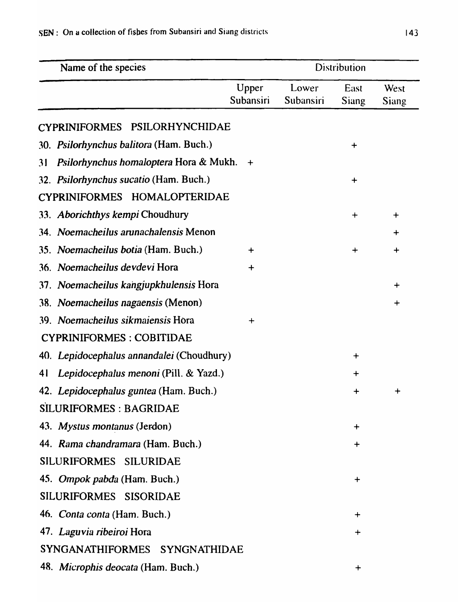| Name of the species                          |                    |                    | <b>Distribution</b> |                      |
|----------------------------------------------|--------------------|--------------------|---------------------|----------------------|
|                                              | Upper<br>Subansiri | Lower<br>Subansiri | East<br>Siang       | West<br><b>Siang</b> |
| CYPRINIFORMES PSILORHYNCHIDAE                |                    |                    |                     |                      |
| 30. Psilorhynchus balitora (Ham. Buch.)      |                    |                    | $\ddot{}$           |                      |
| Psilorhynchus homaloptera Hora & Mukh.<br>31 | $+$                |                    |                     |                      |
| 32. Psilorhynchus sucatio (Ham. Buch.)       |                    |                    | $\bm{+}$            |                      |
| CYPRINIFORMES HOMALOPTERIDAE                 |                    |                    |                     |                      |
| 33. Aborichthys kempi Choudhury              |                    |                    | $\div$              | $\div$               |
| 34. Noemacheilus arunachalensis Menon        |                    |                    |                     | ┿                    |
| 35. Noemacheilus botia (Ham. Buch.)          | $\ddot{}$          |                    | $\div$              | $\div$               |
| 36. Noemacheilus devdevi Hora                | $\div$             |                    |                     |                      |
| 37. Noemacheilus kangjupkhulensis Hora       |                    |                    |                     | $\div$               |
| 38. Noemacheilus nagaensis (Menon)           |                    |                    |                     | $\bm{+}$             |
| 39. Noemacheilus sikmaiensis Hora            | $\div$             |                    |                     |                      |
| <b>CYPRINIFORMES: COBITIDAE</b>              |                    |                    |                     |                      |
| 40. Lepidocephalus annandalei (Choudhury)    |                    |                    | $\bm{+}$            |                      |
| 41 Lepidocephalus menoni (Pill. & Yazd.)     |                    |                    |                     |                      |
| 42. Lepidocephalus guntea (Ham. Buch.)       |                    |                    | $+$                 | $\ddot{}$            |
| SILURIFORMES : BAGRIDAE                      |                    |                    |                     |                      |
| 43. Mystus montanus (Jerdon)                 |                    |                    | $\ddot{}$           |                      |
| 44. Rama chandramara (Ham. Buch.)            |                    |                    | $\bm{+}$            |                      |
| SILURIFORMES SILURIDAE                       |                    |                    |                     |                      |
| 45. Ompok pabda (Ham. Buch.)                 |                    |                    | $\ddag$             |                      |
| SILURIFORMES SISORIDAE                       |                    |                    |                     |                      |
| 46. <i>Conta conta</i> (Ham. Buch.)          |                    |                    | $\div$              |                      |
| 47. Laguvia ribeiroi Hora                    |                    |                    | $\div$              |                      |
| SYNGANATHIFORMES SYNGNATHIDAE                |                    |                    |                     |                      |
| 48. Microphis deocata (Ham. Buch.)           |                    |                    | $\mathbf +$         |                      |